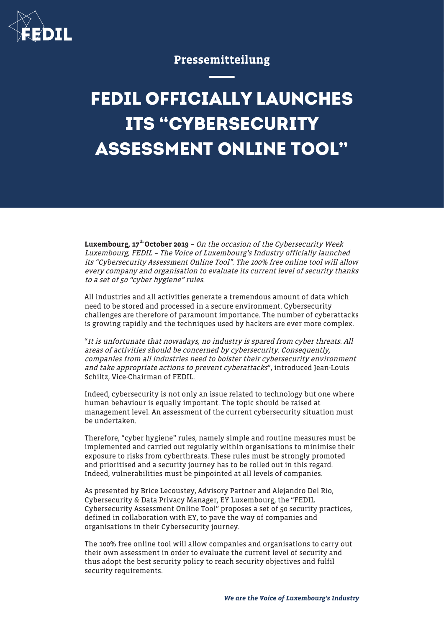

## Pressemitteilung

## **FEDIL OFFICIALLY LAUNCHES ITS "CYBERSECURITY ASSESSMENT ONLINE TOOL"**

**Luxembourg, 17<sup>th</sup> October 2019** – On the occasion of the Cybersecurity Week Luxembourg, FEDIL – The Voice of Luxembourg's Industry officially launched its "Cybersecurity Assessment Online Tool". The 100% free online tool will allow every company and organisation to evaluate its current level of security thanks to a set of 50 "cyber hygiene" rules.

All industries and all activities generate a tremendous amount of data which need to be stored and processed in a secure environment. Cybersecurity challenges are therefore of paramount importance. The number of cyberattacks is growing rapidly and the techniques used by hackers are ever more complex.

"It is unfortunate that nowadays, no industry is spared from cyber threats. All areas of activities should be concerned by cybersecurity. Consequently, companies from all industries need to bolster their cybersecurity environment and take appropriate actions to prevent cyberattacks", introduced Jean-Louis Schiltz, Vice-Chairman of FEDIL.

Indeed, cybersecurity is not only an issue related to technology but one where human behaviour is equally important. The topic should be raised at management level. An assessment of the current cybersecurity situation must be undertaken.

Therefore, "cyber hygiene" rules, namely simple and routine measures must be implemented and carried out regularly within organisations to minimise their exposure to risks from cyberthreats. These rules must be strongly promoted and prioritised and a security journey has to be rolled out in this regard. Indeed, vulnerabilities must be pinpointed at all levels of companies.

As presented by Brice Lecoustey, Advisory Partner and Alejandro Del Río, Cybersecurity & Data Privacy Manager, EY Luxembourg, the "FEDIL Cybersecurity Assessment Online Tool" proposes a set of 50 security practices, defined in collaboration with EY, to pave the way of companies and organisations in their Cybersecurity journey.

The 100% free online tool will allow companies and organisations to carry out their own assessment in order to evaluate the current level of security and thus adopt the best security policy to reach security objectives and fulfil security requirements.